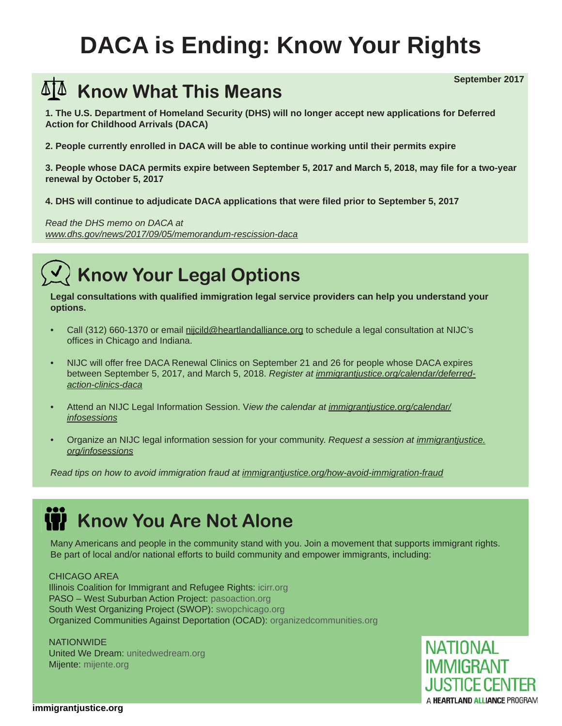# **DACA is Ending: Know Your Rights**

### **Know What This Means**

**1. The U.S. Department of Homeland Security (DHS) will no longer accept new applications for Deferred Action for Childhood Arrivals (DACA)**

**2. People currently enrolled in DACA will be able to continue working until their permits expire**

**3. People whose DACA permits expire between September 5, 2017 and March 5, 2018, may fi le for a two-year renewal by October 5, 2017**

**4. DHS will continue to adjudicate DACA applications that were fi led prior to September 5, 2017**

*Read the DHS memo on DACA at www.dhs.gov/news/2017/09/05/memorandum-rescission-daca*

### **Know Your Legal Options**

Legal consultations with qualified immigration legal service providers can help you understand your **options.** 

- Call (312) 660-1370 or email nijcild@heartlandalliance.org to schedule a legal consultation at NIJC's offices in Chicago and Indiana.
- NIJC will offer free DACA Renewal Clinics on September 21 and 26 for people whose DACA expires between September 5, 2017, and March 5, 2018. *Register at immigrantjustice.org/calendar/deferredaction-clinics-daca*
- Attend an NIJC Legal Information Session. V*iew the calendar at immigrantjustice.org/calendar/ infosessions*
- Organize an NIJC legal information session for your community. *Request a session at immigrantjustice. org/infosessions*

*Read tips on how to avoid immigration fraud at immigrantjustice.org/how-avoid-immigration-fraud*

### **K** Know You Are Not Alone

Many Americans and people in the community stand with you. Join a movement that supports immigrant rights. Be part of local and/or national efforts to build community and empower immigrants, including:

#### CHICAGO AREA

Illinois Coalition for Immigrant and Refugee Rights: icirr.org PASO – West Suburban Action Project: pasoaction.org South West Organizing Project (SWOP): swopchicago.org Organized Communities Against Deportation (OCAD): organizedcommunities.org

**NATIONWIDE** United We Dream: unitedwedream.org Mijente: mijente.org



**September 2017**